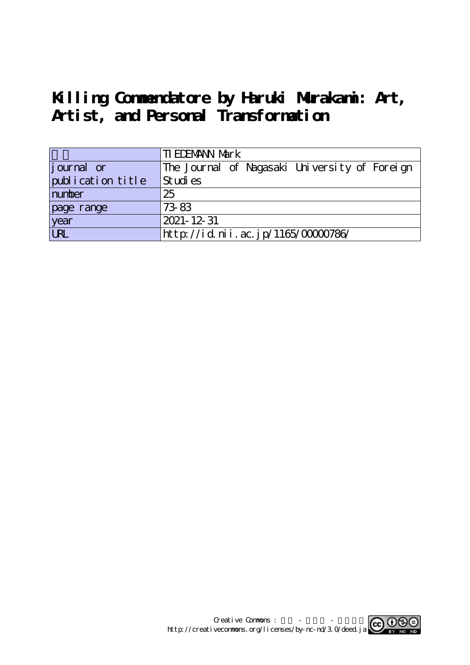# **Killing Commendatore by Haruki Murakami: Art, Artist, and Personal Transformation**

|                   | <b>TI EDEMANN Mark</b>                        |
|-------------------|-----------------------------------------------|
| journal or        | The Journal of Nagasaki University of Foreign |
| publication title | Studies                                       |
| number            | 25                                            |
| page range        | 73-83                                         |
| year              | 2021-12-31                                    |
| URL               | http://id.nii.ac.jp/1165/00000786/            |

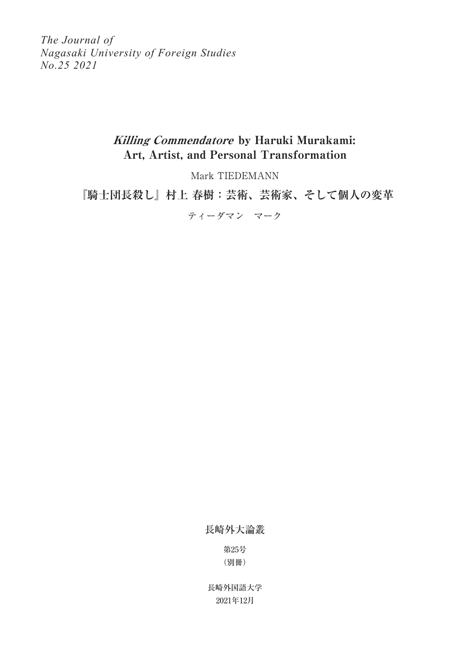*The Journal of Nagasaki University of Foreign Studies No.25 2021*

# Killing Commendatore by Haruki Murakami: Art, Artist, and Personal Transformation

Mark TIEDEMANN

**『騎士団長殺し』村上 春樹:芸術、芸術家、そして個人の変革**

ティーダマン マーク

長崎外大論叢

第25号 (別冊)

2021年12月 長崎外国語大学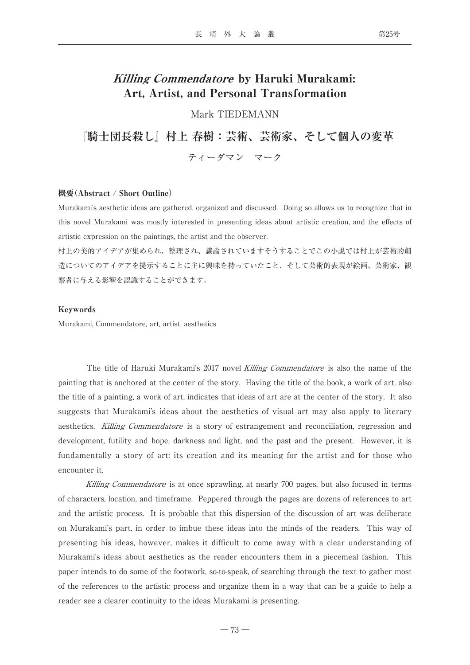# Killing Commendatore by Haruki Murakami: Art, Artist, and Personal Transformation

Mark TIEDEMANN

**『騎士団長殺し』村上 春樹:芸術、芸術家、そして個人の変革** ティーダマン マーク

## 概要(Abstract / Short Outline)

Murakami's aesthetic ideas are gathered, organized and discussed. Doing so allows us to recognize that in this novel Murakami was mostly interested in presenting ideas about artistic creation, and the effects of artistic expression on the paintings, the artist and the observer.

村上の美的アイデアが集められ、整理され、議論されていますそうすることでこの小説では村上が芸術的創 造についてのアイデアを提示することに主に興味を持っていたこと、そして芸術的表現が絵画、芸術家、観 察者に与える影響を認識することができます。

#### Keywords

Murakami, Commendatore, art, artist, aesthetics

The title of Haruki Murakami's 2017 novel Killing Commendatore is also the name of the painting that is anchored at the center of the story. Having the title of the book, a work of art, also the title of a painting, a work of art, indicates that ideas of art are at the center of the story. It also suggests that Murakami's ideas about the aesthetics of visual art may also apply to literary aesthetics. Killing Commendatore is a story of estrangement and reconciliation, regression and development, futility and hope, darkness and light, and the past and the present. However, it is fundamentally a story of art: its creation and its meaning for the artist and for those who encounter it.

Killing Commendatore is at once sprawling, at nearly 700 pages, but also focused in terms of characters, location, and timeframe. Peppered through the pages are dozens of references to art and the artistic process. It is probable that this dispersion of the discussion of art was deliberate on Murakami's part, in order to imbue these ideas into the minds of the readers. This way of presenting his ideas, however, makes it difficult to come away with a clear understanding of Murakami's ideas about aesthetics as the reader encounters them in a piecemeal fashion. This paper intends to do some of the footwork, so-to-speak, of searching through the text to gather most of the references to the artistic process and organize them in a way that can be a guide to help a reader see a clearer continuity to the ideas Murakami is presenting.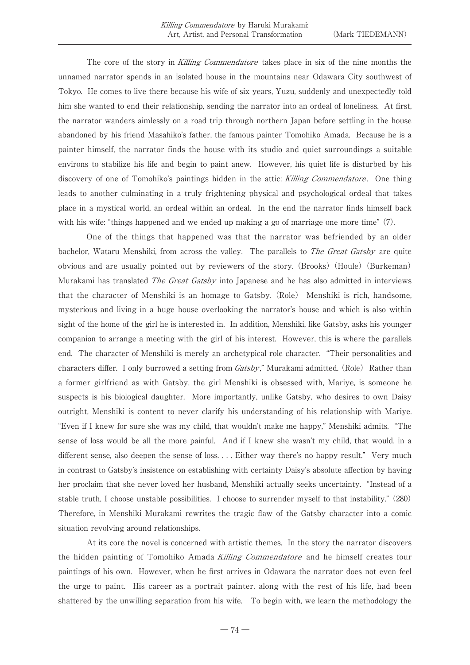The core of the story in Killing Commendatore takes place in six of the nine months the unnamed narrator spends in an isolated house in the mountains near Odawara City southwest of Tokyo. He comes to live there because his wife of six years, Yuzu, suddenly and unexpectedly told him she wanted to end their relationship, sending the narrator into an ordeal of loneliness. At first, the narrator wanders aimlessly on a road trip through northern Japan before settling in the house abandoned by his friend Masahiko's father, the famous painter Tomohiko Amada. Because he is a painter himself, the narrator finds the house with its studio and quiet surroundings a suitable environs to stabilize his life and begin to paint anew. However, his quiet life is disturbed by his discovery of one of Tomohiko's paintings hidden in the attic: *Killing Commendatore*. One thing leads to another culminating in a truly frightening physical and psychological ordeal that takes place in a mystical world, an ordeal within an ordeal. In the end the narrator finds himself back with his wife: "things happened and we ended up making a go of marriage one more time" (7).

One of the things that happened was that the narrator was befriended by an older bachelor, Wataru Menshiki, from across the valley. The parallels to *The Great Gatsby* are quite obvious and are usually pointed out by reviewers of the story. (Brooks) (Houle) (Burkeman) Murakami has translated *The Great Gatsby* into Japanese and he has also admitted in interviews that the character of Menshiki is an homage to Gatsby. (Role) Menshiki is rich, handsome, mysterious and living in a huge house overlooking the narrator's house and which is also within sight of the home of the girl he is interested in. In addition, Menshiki, like Gatsby, asks his younger companion to arrange a meeting with the girl of his interest. However, this is where the parallels end. The character of Menshiki is merely an archetypical role character. "Their personalities and characters differ. I only burrowed a setting from Gatsby," Murakami admitted. (Role) Rather than a former girlfriend as with Gatsby, the girl Menshiki is obsessed with, Mariye, is someone he suspects is his biological daughter. More importantly, unlike Gatsby, who desires to own Daisy outright, Menshiki is content to never clarify his understanding of his relationship with Mariye. "Even if I knew for sure she was my child, that wouldn't make me happy," Menshiki admits. "The sense of loss would be all the more painful. And if I knew she wasn't my child, that would, in a different sense, also deepen the sense of loss. . . . Either way there's no happy result." Very much in contrast to Gatsby's insistence on establishing with certainty Daisy's absolute affection by having her proclaim that she never loved her husband, Menshiki actually seeks uncertainty. "Instead of a stable truth, I choose unstable possibilities. I choose to surrender myself to that instability." (280) Therefore, in Menshiki Murakami rewrites the tragic flaw of the Gatsby character into a comic situation revolving around relationships.

At its core the novel is concerned with artistic themes. In the story the narrator discovers the hidden painting of Tomohiko Amada Killing Commendatore and he himself creates four paintings of his own. However, when he first arrives in Odawara the narrator does not even feel the urge to paint. His career as a portrait painter, along with the rest of his life, had been shattered by the unwilling separation from his wife. To begin with, we learn the methodology the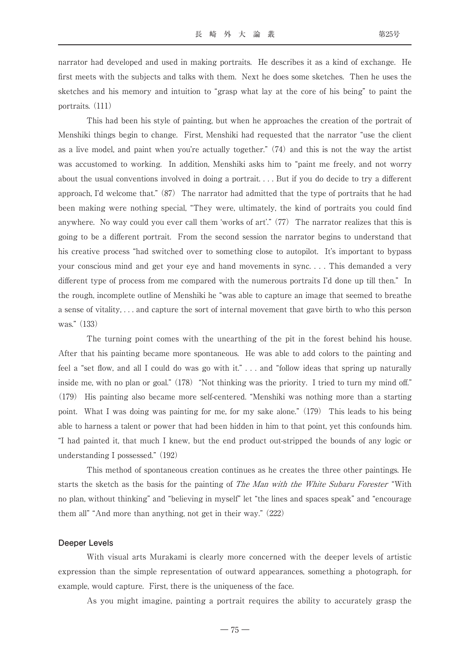narrator had developed and used in making portraits. He describes it as a kind of exchange. He first meets with the subjects and talks with them. Next he does some sketches. Then he uses the sketches and his memory and intuition to "grasp what lay at the core of his being" to paint the portraits. (111)

This had been his style of painting, but when he approaches the creation of the portrait of Menshiki things begin to change. First, Menshiki had requested that the narrator "use the client as a live model, and paint when you're actually together." (74) and this is not the way the artist was accustomed to working. In addition, Menshiki asks him to "paint me freely, and not worry about the usual conventions involved in doing a portrait. . . . But if you do decide to try a different approach, I'd welcome that." (87) The narrator had admitted that the type of portraits that he had been making were nothing special, "They were, ultimately, the kind of portraits you could find anywhere. No way could you ever call them 'works of art'." (77) The narrator realizes that this is going to be a different portrait. From the second session the narrator begins to understand that his creative process "had switched over to something close to autopilot. It's important to bypass your conscious mind and get your eye and hand movements in sync. . . . This demanded a very different type of process from me compared with the numerous portraits I'd done up till then." In the rough, incomplete outline of Menshiki he "was able to capture an image that seemed to breathe a sense of vitality, . . . and capture the sort of internal movement that gave birth to who this person was." (133)

The turning point comes with the unearthing of the pit in the forest behind his house. After that his painting became more spontaneous. He was able to add colors to the painting and feel a "set flow, and all I could do was go with it." . . . and "follow ideas that spring up naturally inside me, with no plan or goal." (178) "Not thinking was the priority. I tried to turn my mind off." (179) His painting also became more self-centered. "Menshiki was nothing more than a starting point. What I was doing was painting for me, for my sake alone." (179) This leads to his being able to harness a talent or power that had been hidden in him to that point, yet this confounds him. "I had painted it, that much I knew, but the end product out-stripped the bounds of any logic or understanding I possessed." (192)

This method of spontaneous creation continues as he creates the three other paintings. He starts the sketch as the basis for the painting of *The Man with the White Subaru Forester* "With no plan, without thinking" and "believing in myself" let "the lines and spaces speak" and "encourage them all" "And more than anything, not get in their way." (222)

#### **Deeper Levels**

With visual arts Murakami is clearly more concerned with the deeper levels of artistic expression than the simple representation of outward appearances, something a photograph, for example, would capture. First, there is the uniqueness of the face.

As you might imagine, painting a portrait requires the ability to accurately grasp the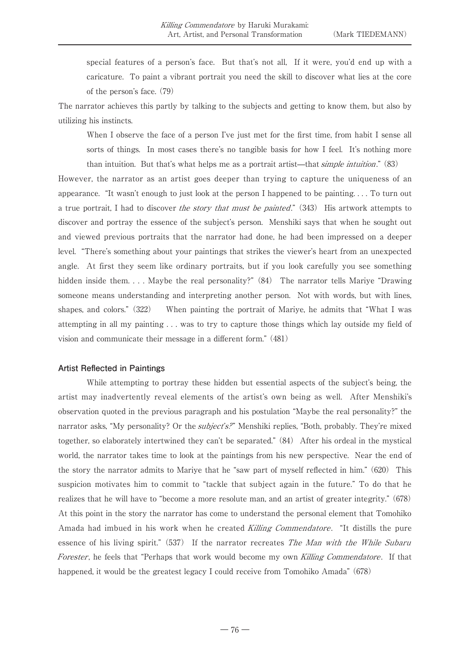special features of a person's face. But that's not all, If it were, you'd end up with a caricature. To paint a vibrant portrait you need the skill to discover what lies at the core of the person's face. (79)

The narrator achieves this partly by talking to the subjects and getting to know them, but also by utilizing his instincts.

When I observe the face of a person I've just met for the first time, from habit I sense all sorts of things. In most cases there's no tangible basis for how I feel. It's nothing more than intuition. But that's what helps me as a portrait artist—that simple intuition." (83)

However, the narrator as an artist goes deeper than trying to capture the uniqueness of an appearance. "It wasn't enough to just look at the person I happened to be painting. . . . To turn out a true portrait, I had to discover the story that must be painted." (343) His artwork attempts to discover and portray the essence of the subject's person. Menshiki says that when he sought out and viewed previous portraits that the narrator had done, he had been impressed on a deeper level. "There's something about your paintings that strikes the viewer's heart from an unexpected angle. At first they seem like ordinary portraits, but if you look carefully you see something hidden inside them. . . . Maybe the real personality?" (84) The narrator tells Mariye "Drawing someone means understanding and interpreting another person. Not with words, but with lines, shapes, and colors." (322) When painting the portrait of Mariye, he admits that "What I was attempting in all my painting . . . was to try to capture those things which lay outside my field of vision and communicate their message in a different form." (481)

# **Artist Reflected in Paintings**

While attempting to portray these hidden but essential aspects of the subject's being, the artist may inadvertently reveal elements of the artist's own being as well. After Menshiki's observation quoted in the previous paragraph and his postulation "Maybe the real personality?" the narrator asks, "My personality? Or the *subject's?*" Menshiki replies, "Both, probably. They're mixed together, so elaborately intertwined they can't be separated." (84) After his ordeal in the mystical world, the narrator takes time to look at the paintings from his new perspective. Near the end of the story the narrator admits to Mariye that he "saw part of myself reflected in him." (620) This suspicion motivates him to commit to "tackle that subject again in the future." To do that he realizes that he will have to "become a more resolute man, and an artist of greater integrity." (678) At this point in the story the narrator has come to understand the personal element that Tomohiko Amada had imbued in his work when he created Killing Commendatore. "It distills the pure essence of his living spirit." (537) If the narrator recreates The Man with the While Subaru Forester, he feels that "Perhaps that work would become my own Killing Commendatore. If that happened, it would be the greatest legacy I could receive from Tomohiko Amada" (678)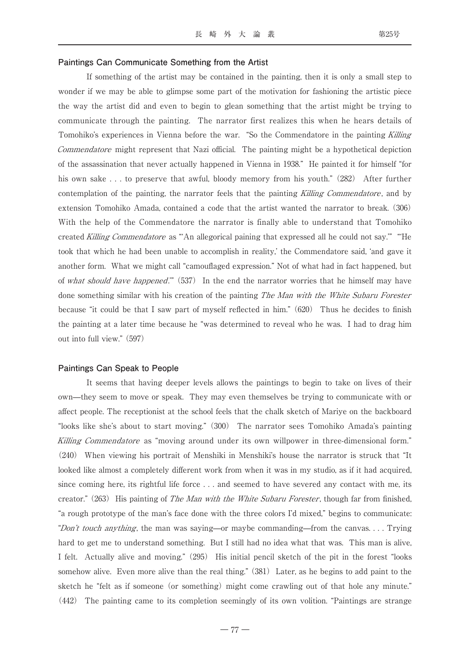#### **Paintings Can Communicate Something from the Artist**

If something of the artist may be contained in the painting, then it is only a small step to wonder if we may be able to glimpse some part of the motivation for fashioning the artistic piece the way the artist did and even to begin to glean something that the artist might be trying to communicate through the painting. The narrator first realizes this when he hears details of Tomohiko's experiences in Vienna before the war. "So the Commendatore in the painting Killing Commendatore might represent that Nazi official. The painting might be a hypothetical depiction of the assassination that never actually happened in Vienna in 1938." He painted it for himself "for his own sake . . . to preserve that awful, bloody memory from his youth." (282) After further contemplation of the painting, the narrator feels that the painting Killing Commendatore, and by extension Tomohiko Amada, contained a code that the artist wanted the narrator to break. (306) With the help of the Commendatore the narrator is finally able to understand that Tomohiko created Killing Commendatore as "An allegorical paining that expressed all he could not say." "He took that which he had been unable to accomplish in reality,' the Commendatore said, 'and gave it another form. What we might call "camouflaged expression." Not of what had in fact happened, but of what should have happened." (537) In the end the narrator worries that he himself may have done something similar with his creation of the painting *The Man with the White Subaru Forester* because "it could be that I saw part of myself reflected in him." (620) Thus he decides to finish the painting at a later time because he "was determined to reveal who he was. I had to drag him out into full view." (597)

### **Paintings Can Speak to People**

It seems that having deeper levels allows the paintings to begin to take on lives of their own—they seem to move or speak. They may even themselves be trying to communicate with or affect people. The receptionist at the school feels that the chalk sketch of Mariye on the backboard "looks like she's about to start moving." (300) The narrator sees Tomohiko Amada's painting Killing Commendatore as "moving around under its own willpower in three-dimensional form." (240) When viewing his portrait of Menshiki in Menshiki's house the narrator is struck that "It looked like almost a completely different work from when it was in my studio, as if it had acquired, since coming here, its rightful life force . . . and seemed to have severed any contact with me, its creator." (263) His painting of *The Man with the White Subaru Forester*, though far from finished, "a rough prototype of the man's face done with the three colors I'd mixed," begins to communicate: "Don't touch anything, the man was saying—or maybe commanding—from the canvas... Trying hard to get me to understand something. But I still had no idea what that was. This man is alive, I felt. Actually alive and moving." (295) His initial pencil sketch of the pit in the forest "looks somehow alive. Even more alive than the real thing." (381) Later, as he begins to add paint to the sketch he "felt as if someone (or something) might come crawling out of that hole any minute." (442) The painting came to its completion seemingly of its own volition. "Paintings are strange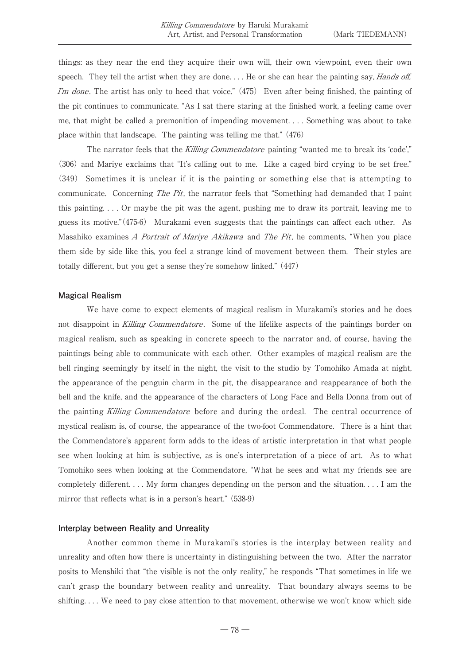things: as they near the end they acquire their own will, their own viewpoint, even their own speech. They tell the artist when they are done.... He or she can hear the painting say, *Hands off*, I'm done. The artist has only to heed that voice."  $(475)$  Even after being finished, the painting of the pit continues to communicate. "As I sat there staring at the finished work, a feeling came over me, that might be called a premonition of impending movement. . . . Something was about to take place within that landscape. The painting was telling me that." (476)

The narrator feels that the Killing Commendatore painting "wanted me to break its 'code'," (306) and Mariye exclaims that "It's calling out to me. Like a caged bird crying to be set free." (349) Sometimes it is unclear if it is the painting or something else that is attempting to communicate. Concerning The Pit, the narrator feels that "Something had demanded that I paint this painting. . . . Or maybe the pit was the agent, pushing me to draw its portrait, leaving me to guess its motive."(475-6) Murakami even suggests that the paintings can affect each other. As Masahiko examines A Portrait of Mariye Akikawa and The Pit, he comments, "When you place them side by side like this, you feel a strange kind of movement between them. Their styles are totally different, but you get a sense they're somehow linked." (447)

#### **Magical Realism**

We have come to expect elements of magical realism in Murakami's stories and he does not disappoint in Killing Commendatore. Some of the lifelike aspects of the paintings border on magical realism, such as speaking in concrete speech to the narrator and, of course, having the paintings being able to communicate with each other. Other examples of magical realism are the bell ringing seemingly by itself in the night, the visit to the studio by Tomohiko Amada at night, the appearance of the penguin charm in the pit, the disappearance and reappearance of both the bell and the knife, and the appearance of the characters of Long Face and Bella Donna from out of the painting Killing Commendatore before and during the ordeal. The central occurrence of mystical realism is, of course, the appearance of the two-foot Commendatore. There is a hint that the Commendatore's apparent form adds to the ideas of artistic interpretation in that what people see when looking at him is subjective, as is one's interpretation of a piece of art. As to what Tomohiko sees when looking at the Commendatore, "What he sees and what my friends see are completely different. . . . My form changes depending on the person and the situation. . . . I am the mirror that reflects what is in a person's heart." (538-9)

## **Interplay between Reality and Unreality**

Another common theme in Murakami's stories is the interplay between reality and unreality and often how there is uncertainty in distinguishing between the two. After the narrator posits to Menshiki that "the visible is not the only reality," he responds "That sometimes in life we can't grasp the boundary between reality and unreality. That boundary always seems to be shifting. . . . We need to pay close attention to that movement, otherwise we won't know which side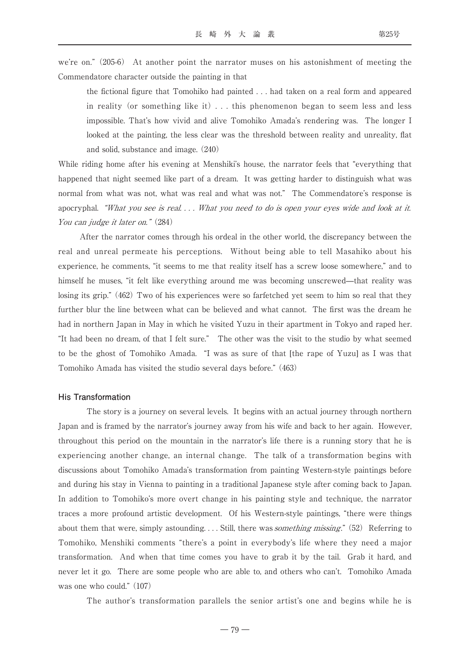we're on." (205-6) At another point the narrator muses on his astonishment of meeting the Commendatore character outside the painting in that

the fictional figure that Tomohiko had painted . . . had taken on a real form and appeared in reality (or something like it) . . . this phenomenon began to seem less and less impossible. That's how vivid and alive Tomohiko Amada's rendering was. The longer I looked at the painting, the less clear was the threshold between reality and unreality, flat and solid, substance and image. (240)

While riding home after his evening at Menshiki's house, the narrator feels that "everything that happened that night seemed like part of a dream. It was getting harder to distinguish what was normal from what was not, what was real and what was not." The Commendatore's response is apocryphal. "What you see is real. . . . What you need to do is open your eyes wide and look at it. You can judge it later on." (284)

 After the narrator comes through his ordeal in the other world, the discrepancy between the real and unreal permeate his perceptions. Without being able to tell Masahiko about his experience, he comments, "it seems to me that reality itself has a screw loose somewhere," and to himself he muses, "it felt like everything around me was becoming unscrewed—that reality was losing its grip." (462) Two of his experiences were so farfetched yet seem to him so real that they further blur the line between what can be believed and what cannot. The first was the dream he had in northern Japan in May in which he visited Yuzu in their apartment in Tokyo and raped her. "It had been no dream, of that I felt sure." The other was the visit to the studio by what seemed to be the ghost of Tomohiko Amada. "I was as sure of that [the rape of Yuzu] as I was that Tomohiko Amada has visited the studio several days before." (463)

#### **His Transformation**

The story is a journey on several levels. It begins with an actual journey through northern Japan and is framed by the narrator's journey away from his wife and back to her again. However, throughout this period on the mountain in the narrator's life there is a running story that he is experiencing another change, an internal change. The talk of a transformation begins with discussions about Tomohiko Amada's transformation from painting Western-style paintings before and during his stay in Vienna to painting in a traditional Japanese style after coming back to Japan. In addition to Tomohiko's more overt change in his painting style and technique, the narrator traces a more profound artistic development. Of his Western-style paintings, "there were things about them that were, simply astounding.  $\ldots$  Still, there was *something missing*." (52) Referring to Tomohiko, Menshiki comments "there's a point in everybody's life where they need a major transformation. And when that time comes you have to grab it by the tail. Grab it hard, and never let it go. There are some people who are able to, and others who can't. Tomohiko Amada was one who could." (107)

The author's transformation parallels the senior artist's one and begins while he is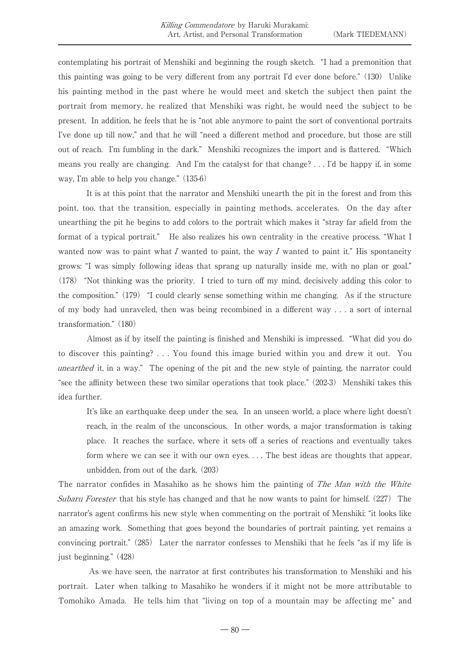contemplating his portrait of Menshiki and beginning the rough sketch. "I had a premonition that this painting was going to be very different from any portrait I'd ever done before." (130) Unlike his painting method in the past where he would meet and sketch the subject then paint the portrait from memory, he realized that Menshiki was right, he would need the subject to be present. In addition, he feels that he is "not able anymore to paint the sort of conventional portraits I've done up till now," and that he will "need a different method and procedure, but those are still out of reach. I'm fumbling in the dark." Menshiki recognizes the import and is flattered. "Which means you really are changing. And I'm the catalyst for that change? . . . I'd be happy if, in some way, I'm able to help you change." (135-6)

It is at this point that the narrator and Menshiki unearth the pit in the forest and from this point, too, that the transition, especially in painting methods, accelerates. On the day after unearthing the pit he begins to add colors to the portrait which makes it "stray far afield from the format of a typical portrait." He also realizes his own centrality in the creative process. "What I wanted now was to paint what I wanted to paint, the way I wanted to paint it." His spontaneity grows: "I was simply following ideas that sprang up naturally inside me, with no plan or goal." (178) "Not thinking was the priority. I tried to turn off my mind, decisively adding this color to the composition." (179) "I could clearly sense something within me changing. As if the structure of my body had unraveled, then was being recombined in a different way . . . a sort of internal transformation." (180)

Almost as if by itself the painting is finished and Menshiki is impressed. "What did you do to discover this painting? . . . You found this image buried within you and drew it out. You unearthed it, in a way." The opening of the pit and the new style of painting, the narrator could "see the affinity between these two similar operations that took place." (202-3) Menshiki takes this idea further.

It's like an earthquake deep under the sea. In an unseen world, a place where light doesn't reach, in the realm of the unconscious. In other words, a major transformation is taking place. It reaches the surface, where it sets off a series of reactions and eventually takes form where we can see it with our own eyes. . . . The best ideas are thoughts that appear, unbidden, from out of the dark. (203)

The narrator confides in Masahiko as he shows him the painting of *The Man with the White* Subaru Forester that his style has changed and that he now wants to paint for himself. (227) The narrator's agent confirms his new style when commenting on the portrait of Menshiki: "it looks like an amazing work. Something that goes beyond the boundaries of portrait painting, yet remains a convincing portrait." (285) Later the narrator confesses to Menshiki that he feels "as if my life is just beginning." (428)

 As we have seen, the narrator at first contributes his transformation to Menshiki and his portrait. Later when talking to Masahiko he wonders if it might not be more attributable to Tomohiko Amada. He tells him that "living on top of a mountain may be affecting me" and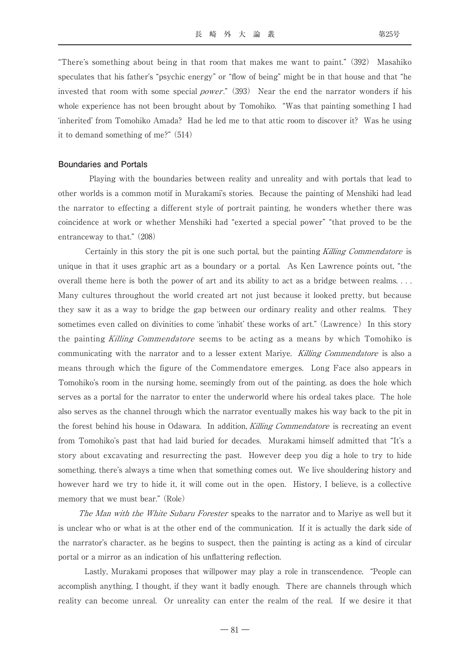"There's something about being in that room that makes me want to paint." (392) Masahiko speculates that his father's "psychic energy" or "flow of being" might be in that house and that "he invested that room with some special *power*."  $(393)$  Near the end the narrator wonders if his whole experience has not been brought about by Tomohiko. "Was that painting something I had 'inherited' from Tomohiko Amada? Had he led me to that attic room to discover it? Was he using it to demand something of me?" (514)

#### **Boundaries and Portals**

 Playing with the boundaries between reality and unreality and with portals that lead to other worlds is a common motif in Murakami's stories. Because the painting of Menshiki had lead the narrator to effecting a different style of portrait painting, he wonders whether there was coincidence at work or whether Menshiki had "exerted a special power" "that proved to be the entranceway to that." (208)

Certainly in this story the pit is one such portal, but the painting Killing Commendatore is unique in that it uses graphic art as a boundary or a portal. As Ken Lawrence points out, "the overall theme here is both the power of art and its ability to act as a bridge between realms. . . . Many cultures throughout the world created art not just because it looked pretty, but because they saw it as a way to bridge the gap between our ordinary reality and other realms. They sometimes even called on divinities to come 'inhabit' these works of art." (Lawrence) In this story the painting Killing Commendatore seems to be acting as a means by which Tomohiko is communicating with the narrator and to a lesser extent Mariye. Killing Commendatore is also a means through which the figure of the Commendatore emerges. Long Face also appears in Tomohiko's room in the nursing home, seemingly from out of the painting, as does the hole which serves as a portal for the narrator to enter the underworld where his ordeal takes place. The hole also serves as the channel through which the narrator eventually makes his way back to the pit in the forest behind his house in Odawara. In addition, Killing Commendatore is recreating an event from Tomohiko's past that had laid buried for decades. Murakami himself admitted that "It's a story about excavating and resurrecting the past. However deep you dig a hole to try to hide something, there's always a time when that something comes out. We live shouldering history and however hard we try to hide it, it will come out in the open. History, I believe, is a collective memory that we must bear." (Role)

The Man with the White Subaru Forester speaks to the narrator and to Mariye as well but it is unclear who or what is at the other end of the communication. If it is actually the dark side of the narrator's character, as he begins to suspect, then the painting is acting as a kind of circular portal or a mirror as an indication of his unflattering reflection.

 Lastly, Murakami proposes that willpower may play a role in transcendence. "People can accomplish anything, I thought, if they want it badly enough. There are channels through which reality can become unreal. Or unreality can enter the realm of the real. If we desire it that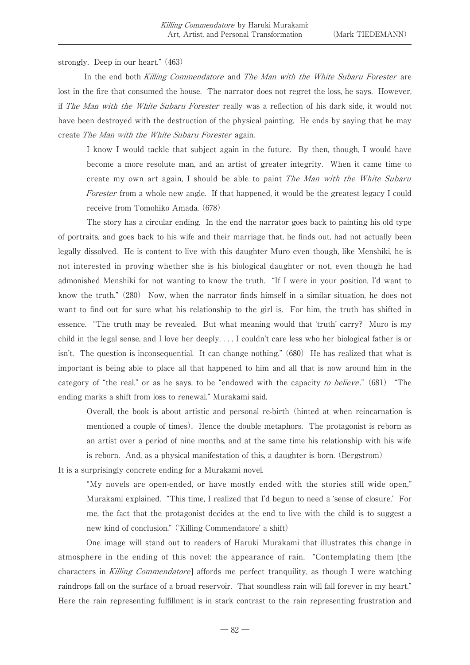strongly. Deep in our heart." (463)

In the end both Killing Commendatore and The Man with the White Subaru Forester are lost in the fire that consumed the house. The narrator does not regret the loss, he says. However, if The Man with the White Subaru Forester really was a reflection of his dark side, it would not have been destroyed with the destruction of the physical painting. He ends by saying that he may create The Man with the White Subaru Forester again.

I know I would tackle that subject again in the future. By then, though, I would have become a more resolute man, and an artist of greater integrity. When it came time to create my own art again, I should be able to paint The Man with the White Subaru Forester from a whole new angle. If that happened, it would be the greatest legacy I could receive from Tomohiko Amada. (678)

The story has a circular ending. In the end the narrator goes back to painting his old type of portraits, and goes back to his wife and their marriage that, he finds out, had not actually been legally dissolved. He is content to live with this daughter Muro even though, like Menshiki, he is not interested in proving whether she is his biological daughter or not, even though he had admonished Menshiki for not wanting to know the truth. "If I were in your position, I'd want to know the truth." (280) Now, when the narrator finds himself in a similar situation, he does not want to find out for sure what his relationship to the girl is. For him, the truth has shifted in essence. "The truth may be revealed. But what meaning would that 'truth' carry? Muro is my child in the legal sense, and I love her deeply. . . . I couldn't care less who her biological father is or isn't. The question is inconsequential. It can change nothing." (680) He has realized that what is important is being able to place all that happened to him and all that is now around him in the category of "the real," or as he says, to be "endowed with the capacity to believe."  $(681)$  "The ending marks a shift from loss to renewal." Murakami said.

Overall, the book is about artistic and personal re-birth (hinted at when reincarnation is mentioned a couple of times). Hence the double metaphors. The protagonist is reborn as an artist over a period of nine months, and at the same time his relationship with his wife is reborn. And, as a physical manifestation of this, a daughter is born. (Bergstrom)

It is a surprisingly concrete ending for a Murakami novel.

"My novels are open-ended, or have mostly ended with the stories still wide open," Murakami explained. "This time, I realized that I'd begun to need a 'sense of closure.' For me, the fact that the protagonist decides at the end to live with the child is to suggest a new kind of conclusion." ('Killing Commendatore' a shift)

 One image will stand out to readers of Haruki Murakami that illustrates this change in atmosphere in the ending of this novel: the appearance of rain. "Contemplating them [the characters in Killing Commendatore] affords me perfect tranquility, as though I were watching raindrops fall on the surface of a broad reservoir. That soundless rain will fall forever in my heart." Here the rain representing fulfillment is in stark contrast to the rain representing frustration and